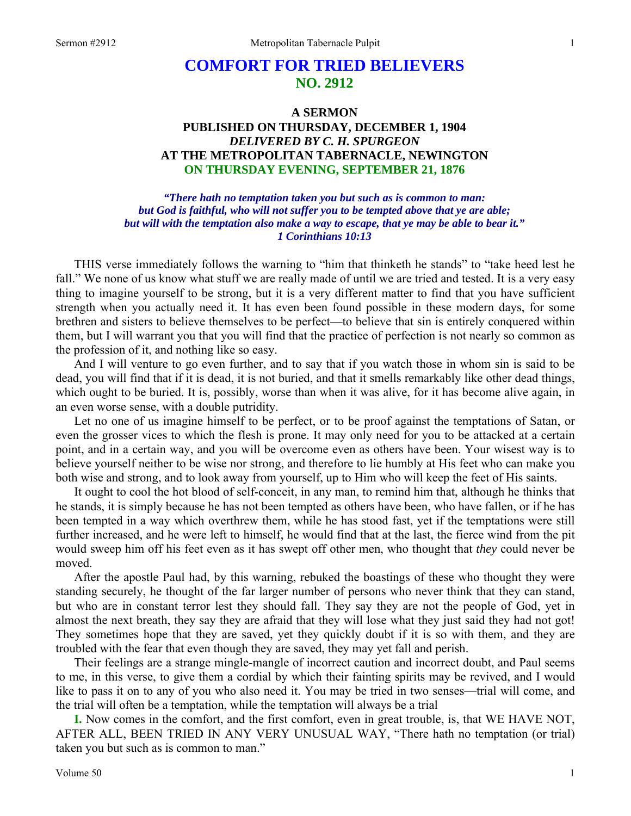## **COMFORT FOR TRIED BELIEVERS NO. 2912**

## **A SERMON PUBLISHED ON THURSDAY, DECEMBER 1, 1904**  *DELIVERED BY C. H. SPURGEON*  **AT THE METROPOLITAN TABERNACLE, NEWINGTON ON THURSDAY EVENING, SEPTEMBER 21, 1876**

*"There hath no temptation taken you but such as is common to man: but God is faithful, who will not suffer you to be tempted above that ye are able; but will with the temptation also make a way to escape, that ye may be able to bear it." 1 Corinthians 10:13* 

THIS verse immediately follows the warning to "him that thinketh he stands" to "take heed lest he fall." We none of us know what stuff we are really made of until we are tried and tested. It is a very easy thing to imagine yourself to be strong, but it is a very different matter to find that you have sufficient strength when you actually need it. It has even been found possible in these modern days, for some brethren and sisters to believe themselves to be perfect—to believe that sin is entirely conquered within them, but I will warrant you that you will find that the practice of perfection is not nearly so common as the profession of it, and nothing like so easy.

And I will venture to go even further, and to say that if you watch those in whom sin is said to be dead, you will find that if it is dead, it is not buried, and that it smells remarkably like other dead things, which ought to be buried. It is, possibly, worse than when it was alive, for it has become alive again, in an even worse sense, with a double putridity.

Let no one of us imagine himself to be perfect, or to be proof against the temptations of Satan, or even the grosser vices to which the flesh is prone. It may only need for you to be attacked at a certain point, and in a certain way, and you will be overcome even as others have been. Your wisest way is to believe yourself neither to be wise nor strong, and therefore to lie humbly at His feet who can make you both wise and strong, and to look away from yourself, up to Him who will keep the feet of His saints.

It ought to cool the hot blood of self-conceit, in any man, to remind him that, although he thinks that he stands, it is simply because he has not been tempted as others have been, who have fallen, or if he has been tempted in a way which overthrew them, while he has stood fast, yet if the temptations were still further increased, and he were left to himself, he would find that at the last, the fierce wind from the pit would sweep him off his feet even as it has swept off other men, who thought that *they* could never be moved.

After the apostle Paul had, by this warning, rebuked the boastings of these who thought they were standing securely, he thought of the far larger number of persons who never think that they can stand, but who are in constant terror lest they should fall. They say they are not the people of God, yet in almost the next breath, they say they are afraid that they will lose what they just said they had not got! They sometimes hope that they are saved, yet they quickly doubt if it is so with them, and they are troubled with the fear that even though they are saved, they may yet fall and perish.

Their feelings are a strange mingle-mangle of incorrect caution and incorrect doubt, and Paul seems to me, in this verse, to give them a cordial by which their fainting spirits may be revived, and I would like to pass it on to any of you who also need it. You may be tried in two senses—trial will come, and the trial will often be a temptation, while the temptation will always be a trial

**I.** Now comes in the comfort, and the first comfort, even in great trouble, is, that WE HAVE NOT, AFTER ALL, BEEN TRIED IN ANY VERY UNUSUAL WAY, "There hath no temptation (or trial) taken you but such as is common to man."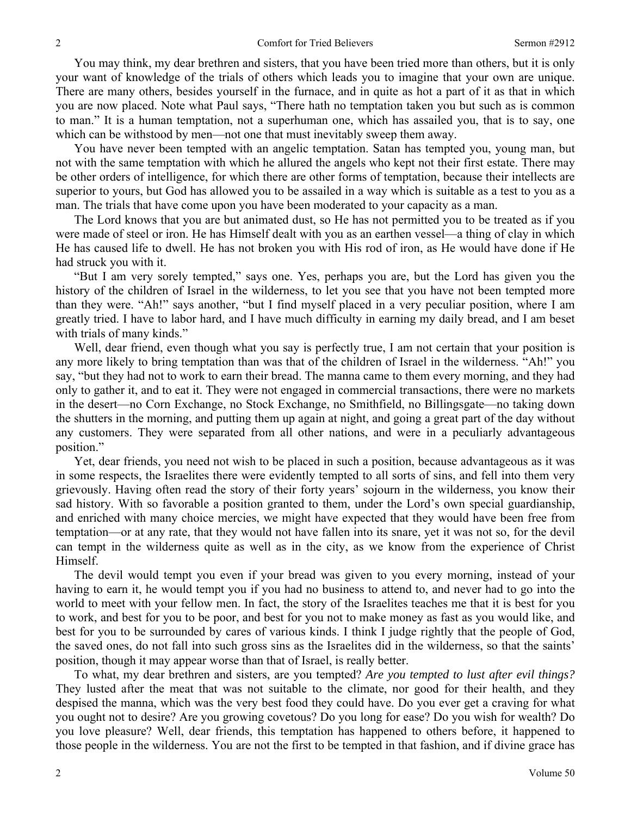You may think, my dear brethren and sisters, that you have been tried more than others, but it is only your want of knowledge of the trials of others which leads you to imagine that your own are unique. There are many others, besides yourself in the furnace, and in quite as hot a part of it as that in which you are now placed. Note what Paul says, "There hath no temptation taken you but such as is common to man." It is a human temptation, not a superhuman one, which has assailed you, that is to say, one which can be withstood by men—not one that must inevitably sweep them away.

You have never been tempted with an angelic temptation. Satan has tempted you, young man, but not with the same temptation with which he allured the angels who kept not their first estate. There may be other orders of intelligence, for which there are other forms of temptation, because their intellects are superior to yours, but God has allowed you to be assailed in a way which is suitable as a test to you as a man. The trials that have come upon you have been moderated to your capacity as a man.

The Lord knows that you are but animated dust, so He has not permitted you to be treated as if you were made of steel or iron. He has Himself dealt with you as an earthen vessel—a thing of clay in which He has caused life to dwell. He has not broken you with His rod of iron, as He would have done if He had struck you with it.

"But I am very sorely tempted," says one. Yes, perhaps you are, but the Lord has given you the history of the children of Israel in the wilderness, to let you see that you have not been tempted more than they were. "Ah!" says another, "but I find myself placed in a very peculiar position, where I am greatly tried. I have to labor hard, and I have much difficulty in earning my daily bread, and I am beset with trials of many kinds."

Well, dear friend, even though what you say is perfectly true, I am not certain that your position is any more likely to bring temptation than was that of the children of Israel in the wilderness. "Ah!" you say, "but they had not to work to earn their bread. The manna came to them every morning, and they had only to gather it, and to eat it. They were not engaged in commercial transactions, there were no markets in the desert—no Corn Exchange, no Stock Exchange, no Smithfield, no Billingsgate—no taking down the shutters in the morning, and putting them up again at night, and going a great part of the day without any customers. They were separated from all other nations, and were in a peculiarly advantageous position."

Yet, dear friends, you need not wish to be placed in such a position, because advantageous as it was in some respects, the Israelites there were evidently tempted to all sorts of sins, and fell into them very grievously. Having often read the story of their forty years' sojourn in the wilderness, you know their sad history. With so favorable a position granted to them, under the Lord's own special guardianship, and enriched with many choice mercies, we might have expected that they would have been free from temptation—or at any rate, that they would not have fallen into its snare, yet it was not so, for the devil can tempt in the wilderness quite as well as in the city, as we know from the experience of Christ Himself.

The devil would tempt you even if your bread was given to you every morning, instead of your having to earn it, he would tempt you if you had no business to attend to, and never had to go into the world to meet with your fellow men. In fact, the story of the Israelites teaches me that it is best for you to work, and best for you to be poor, and best for you not to make money as fast as you would like, and best for you to be surrounded by cares of various kinds. I think I judge rightly that the people of God, the saved ones, do not fall into such gross sins as the Israelites did in the wilderness, so that the saints' position, though it may appear worse than that of Israel, is really better.

To what, my dear brethren and sisters, are you tempted? *Are you tempted to lust after evil things?* They lusted after the meat that was not suitable to the climate, nor good for their health, and they despised the manna, which was the very best food they could have. Do you ever get a craving for what you ought not to desire? Are you growing covetous? Do you long for ease? Do you wish for wealth? Do you love pleasure? Well, dear friends, this temptation has happened to others before, it happened to those people in the wilderness. You are not the first to be tempted in that fashion, and if divine grace has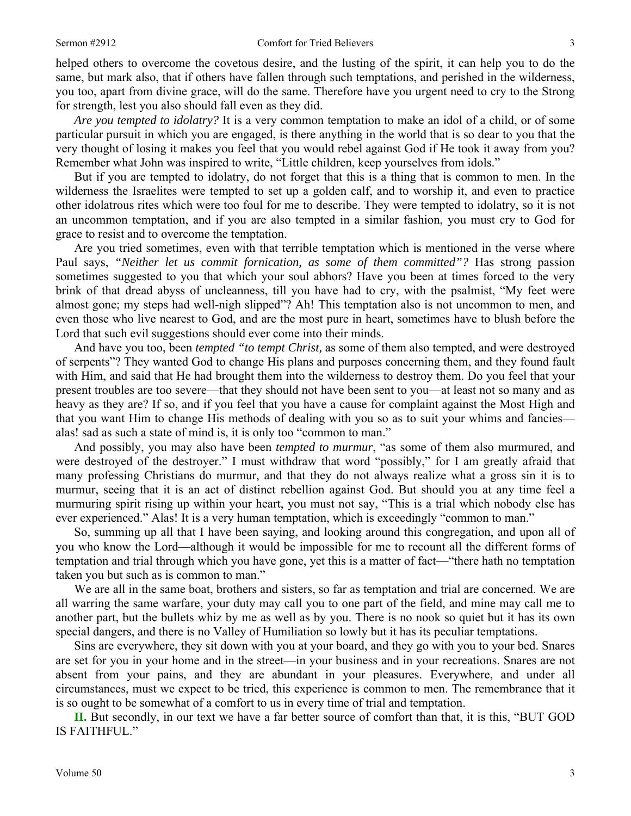helped others to overcome the covetous desire, and the lusting of the spirit, it can help you to do the same, but mark also, that if others have fallen through such temptations, and perished in the wilderness, you too, apart from divine grace, will do the same. Therefore have you urgent need to cry to the Strong for strength, lest you also should fall even as they did.

*Are you tempted to idolatry?* It is a very common temptation to make an idol of a child, or of some particular pursuit in which you are engaged, is there anything in the world that is so dear to you that the very thought of losing it makes you feel that you would rebel against God if He took it away from you? Remember what John was inspired to write, "Little children, keep yourselves from idols."

But if you are tempted to idolatry, do not forget that this is a thing that is common to men. In the wilderness the Israelites were tempted to set up a golden calf, and to worship it, and even to practice other idolatrous rites which were too foul for me to describe. They were tempted to idolatry, so it is not an uncommon temptation, and if you are also tempted in a similar fashion, you must cry to God for grace to resist and to overcome the temptation.

Are you tried sometimes, even with that terrible temptation which is mentioned in the verse where Paul says, *"Neither let us commit fornication, as some of them committed"?* Has strong passion sometimes suggested to you that which your soul abhors? Have you been at times forced to the very brink of that dread abyss of uncleanness, till you have had to cry, with the psalmist, "My feet were almost gone; my steps had well-nigh slipped"? Ah! This temptation also is not uncommon to men, and even those who live nearest to God, and are the most pure in heart, sometimes have to blush before the Lord that such evil suggestions should ever come into their minds.

And have you too, been *tempted "to tempt Christ,* as some of them also tempted, and were destroyed of serpents"? They wanted God to change His plans and purposes concerning them, and they found fault with Him, and said that He had brought them into the wilderness to destroy them. Do you feel that your present troubles are too severe—that they should not have been sent to you—at least not so many and as heavy as they are? If so, and if you feel that you have a cause for complaint against the Most High and that you want Him to change His methods of dealing with you so as to suit your whims and fancies alas! sad as such a state of mind is, it is only too "common to man."

And possibly, you may also have been *tempted to murmur*, "as some of them also murmured, and were destroyed of the destroyer." I must withdraw that word "possibly," for I am greatly afraid that many professing Christians do murmur, and that they do not always realize what a gross sin it is to murmur, seeing that it is an act of distinct rebellion against God. But should you at any time feel a murmuring spirit rising up within your heart, you must not say, "This is a trial which nobody else has ever experienced." Alas! It is a very human temptation, which is exceedingly "common to man."

So, summing up all that I have been saying, and looking around this congregation, and upon all of you who know the Lord—although it would be impossible for me to recount all the different forms of temptation and trial through which you have gone, yet this is a matter of fact—"there hath no temptation taken you but such as is common to man."

We are all in the same boat, brothers and sisters, so far as temptation and trial are concerned. We are all warring the same warfare, your duty may call you to one part of the field, and mine may call me to another part, but the bullets whiz by me as well as by you. There is no nook so quiet but it has its own special dangers, and there is no Valley of Humiliation so lowly but it has its peculiar temptations.

Sins are everywhere, they sit down with you at your board, and they go with you to your bed. Snares are set for you in your home and in the street—in your business and in your recreations. Snares are not absent from your pains, and they are abundant in your pleasures. Everywhere, and under all circumstances, must we expect to be tried, this experience is common to men. The remembrance that it is so ought to be somewhat of a comfort to us in every time of trial and temptation.

**II.** But secondly, in our text we have a far better source of comfort than that, it is this, "BUT GOD IS FAITHFUL."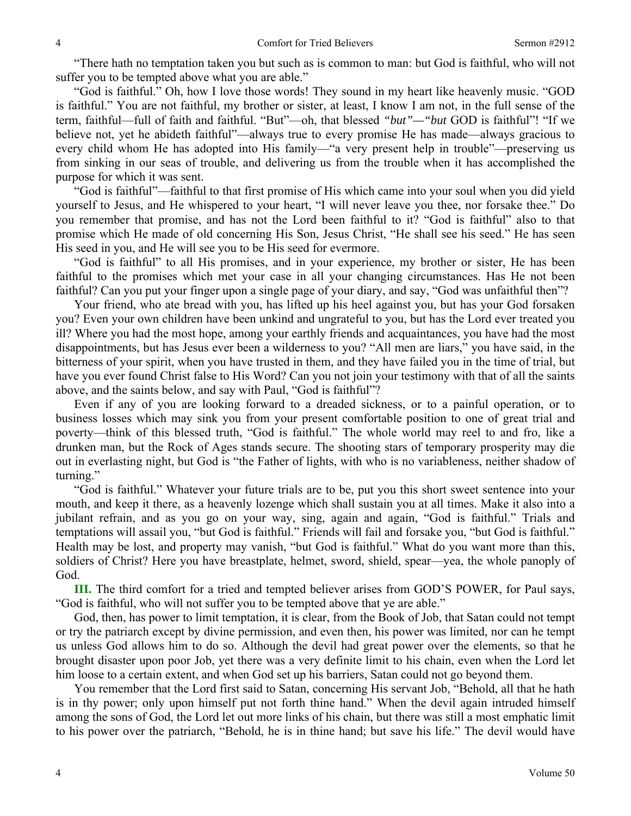"There hath no temptation taken you but such as is common to man: but God is faithful, who will not suffer you to be tempted above what you are able."

"God is faithful." Oh, how I love those words! They sound in my heart like heavenly music. "GOD is faithful." You are not faithful, my brother or sister, at least, I know I am not, in the full sense of the term, faithful—full of faith and faithful. "But"—oh, that blessed *"but"—"but* GOD is faithful"! "If we believe not, yet he abideth faithful"—always true to every promise He has made—always gracious to every child whom He has adopted into His family—"a very present help in trouble"—preserving us from sinking in our seas of trouble, and delivering us from the trouble when it has accomplished the purpose for which it was sent.

"God is faithful"—faithful to that first promise of His which came into your soul when you did yield yourself to Jesus, and He whispered to your heart, "I will never leave you thee, nor forsake thee." Do you remember that promise, and has not the Lord been faithful to it? "God is faithful" also to that promise which He made of old concerning His Son, Jesus Christ, "He shall see his seed." He has seen His seed in you, and He will see you to be His seed for evermore.

"God is faithful" to all His promises, and in your experience, my brother or sister, He has been faithful to the promises which met your case in all your changing circumstances. Has He not been faithful? Can you put your finger upon a single page of your diary, and say, "God was unfaithful then"?

Your friend, who ate bread with you, has lifted up his heel against you, but has your God forsaken you? Even your own children have been unkind and ungrateful to you, but has the Lord ever treated you ill? Where you had the most hope, among your earthly friends and acquaintances, you have had the most disappointments, but has Jesus ever been a wilderness to you? "All men are liars," you have said, in the bitterness of your spirit, when you have trusted in them, and they have failed you in the time of trial, but have you ever found Christ false to His Word? Can you not join your testimony with that of all the saints above, and the saints below, and say with Paul, "God is faithful"?

Even if any of you are looking forward to a dreaded sickness, or to a painful operation, or to business losses which may sink you from your present comfortable position to one of great trial and poverty—think of this blessed truth, "God is faithful." The whole world may reel to and fro, like a drunken man, but the Rock of Ages stands secure. The shooting stars of temporary prosperity may die out in everlasting night, but God is "the Father of lights, with who is no variableness, neither shadow of turning."

"God is faithful." Whatever your future trials are to be, put you this short sweet sentence into your mouth, and keep it there, as a heavenly lozenge which shall sustain you at all times. Make it also into a jubilant refrain, and as you go on your way, sing, again and again, "God is faithful." Trials and temptations will assail you, "but God is faithful." Friends will fail and forsake you, "but God is faithful." Health may be lost, and property may vanish, "but God is faithful." What do you want more than this, soldiers of Christ? Here you have breastplate, helmet, sword, shield, spear—yea, the whole panoply of God.

**III.** The third comfort for a tried and tempted believer arises from GOD'S POWER, for Paul says, "God is faithful, who will not suffer you to be tempted above that ye are able."

God, then, has power to limit temptation, it is clear, from the Book of Job, that Satan could not tempt or try the patriarch except by divine permission, and even then, his power was limited, nor can he tempt us unless God allows him to do so. Although the devil had great power over the elements, so that he brought disaster upon poor Job, yet there was a very definite limit to his chain, even when the Lord let him loose to a certain extent, and when God set up his barriers, Satan could not go beyond them.

You remember that the Lord first said to Satan, concerning His servant Job, "Behold, all that he hath is in thy power; only upon himself put not forth thine hand." When the devil again intruded himself among the sons of God, the Lord let out more links of his chain, but there was still a most emphatic limit to his power over the patriarch, "Behold, he is in thine hand; but save his life." The devil would have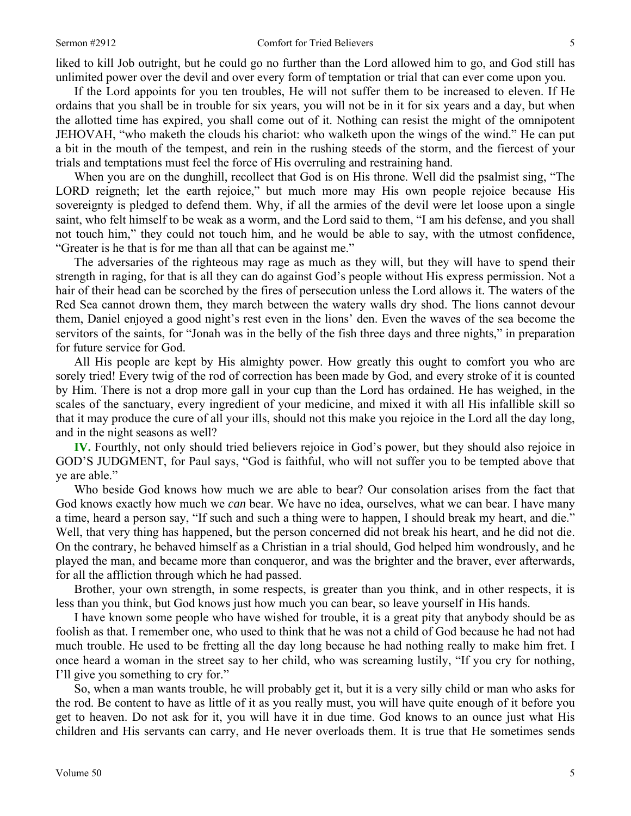liked to kill Job outright, but he could go no further than the Lord allowed him to go, and God still has unlimited power over the devil and over every form of temptation or trial that can ever come upon you.

If the Lord appoints for you ten troubles, He will not suffer them to be increased to eleven. If He ordains that you shall be in trouble for six years, you will not be in it for six years and a day, but when the allotted time has expired, you shall come out of it. Nothing can resist the might of the omnipotent JEHOVAH, "who maketh the clouds his chariot: who walketh upon the wings of the wind." He can put a bit in the mouth of the tempest, and rein in the rushing steeds of the storm, and the fiercest of your trials and temptations must feel the force of His overruling and restraining hand.

When you are on the dunghill, recollect that God is on His throne. Well did the psalmist sing, "The LORD reigneth; let the earth rejoice," but much more may His own people rejoice because His sovereignty is pledged to defend them. Why, if all the armies of the devil were let loose upon a single saint, who felt himself to be weak as a worm, and the Lord said to them, "I am his defense, and you shall not touch him," they could not touch him, and he would be able to say, with the utmost confidence, "Greater is he that is for me than all that can be against me."

The adversaries of the righteous may rage as much as they will, but they will have to spend their strength in raging, for that is all they can do against God's people without His express permission. Not a hair of their head can be scorched by the fires of persecution unless the Lord allows it. The waters of the Red Sea cannot drown them, they march between the watery walls dry shod. The lions cannot devour them, Daniel enjoyed a good night's rest even in the lions' den. Even the waves of the sea become the servitors of the saints, for "Jonah was in the belly of the fish three days and three nights," in preparation for future service for God.

All His people are kept by His almighty power. How greatly this ought to comfort you who are sorely tried! Every twig of the rod of correction has been made by God, and every stroke of it is counted by Him. There is not a drop more gall in your cup than the Lord has ordained. He has weighed, in the scales of the sanctuary, every ingredient of your medicine, and mixed it with all His infallible skill so that it may produce the cure of all your ills, should not this make you rejoice in the Lord all the day long, and in the night seasons as well?

**IV.** Fourthly, not only should tried believers rejoice in God's power, but they should also rejoice in GOD'S JUDGMENT, for Paul says, "God is faithful, who will not suffer you to be tempted above that ye are able."

Who beside God knows how much we are able to bear? Our consolation arises from the fact that God knows exactly how much we *can* bear. We have no idea, ourselves, what we can bear. I have many a time, heard a person say, "If such and such a thing were to happen, I should break my heart, and die." Well, that very thing has happened, but the person concerned did not break his heart, and he did not die. On the contrary, he behaved himself as a Christian in a trial should, God helped him wondrously, and he played the man, and became more than conqueror, and was the brighter and the braver, ever afterwards, for all the affliction through which he had passed.

Brother, your own strength, in some respects, is greater than you think, and in other respects, it is less than you think, but God knows just how much you can bear, so leave yourself in His hands.

I have known some people who have wished for trouble, it is a great pity that anybody should be as foolish as that. I remember one, who used to think that he was not a child of God because he had not had much trouble. He used to be fretting all the day long because he had nothing really to make him fret. I once heard a woman in the street say to her child, who was screaming lustily, "If you cry for nothing, I'll give you something to cry for."

So, when a man wants trouble, he will probably get it, but it is a very silly child or man who asks for the rod. Be content to have as little of it as you really must, you will have quite enough of it before you get to heaven. Do not ask for it, you will have it in due time. God knows to an ounce just what His children and His servants can carry, and He never overloads them. It is true that He sometimes sends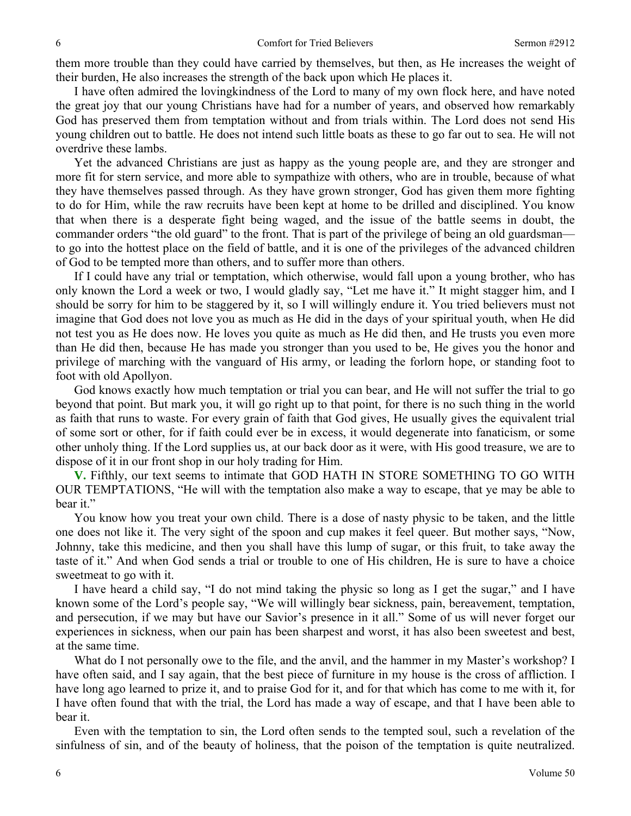them more trouble than they could have carried by themselves, but then, as He increases the weight of their burden, He also increases the strength of the back upon which He places it.

I have often admired the lovingkindness of the Lord to many of my own flock here, and have noted the great joy that our young Christians have had for a number of years, and observed how remarkably God has preserved them from temptation without and from trials within. The Lord does not send His young children out to battle. He does not intend such little boats as these to go far out to sea. He will not overdrive these lambs.

Yet the advanced Christians are just as happy as the young people are, and they are stronger and more fit for stern service, and more able to sympathize with others, who are in trouble, because of what they have themselves passed through. As they have grown stronger, God has given them more fighting to do for Him, while the raw recruits have been kept at home to be drilled and disciplined. You know that when there is a desperate fight being waged, and the issue of the battle seems in doubt, the commander orders "the old guard" to the front. That is part of the privilege of being an old guardsman to go into the hottest place on the field of battle, and it is one of the privileges of the advanced children of God to be tempted more than others, and to suffer more than others.

If I could have any trial or temptation, which otherwise, would fall upon a young brother, who has only known the Lord a week or two, I would gladly say, "Let me have it." It might stagger him, and I should be sorry for him to be staggered by it, so I will willingly endure it. You tried believers must not imagine that God does not love you as much as He did in the days of your spiritual youth, when He did not test you as He does now. He loves you quite as much as He did then, and He trusts you even more than He did then, because He has made you stronger than you used to be, He gives you the honor and privilege of marching with the vanguard of His army, or leading the forlorn hope, or standing foot to foot with old Apollyon.

God knows exactly how much temptation or trial you can bear, and He will not suffer the trial to go beyond that point. But mark you, it will go right up to that point, for there is no such thing in the world as faith that runs to waste. For every grain of faith that God gives, He usually gives the equivalent trial of some sort or other, for if faith could ever be in excess, it would degenerate into fanaticism, or some other unholy thing. If the Lord supplies us, at our back door as it were, with His good treasure, we are to dispose of it in our front shop in our holy trading for Him.

**V.** Fifthly, our text seems to intimate that GOD HATH IN STORE SOMETHING TO GO WITH OUR TEMPTATIONS, "He will with the temptation also make a way to escape, that ye may be able to bear it."

You know how you treat your own child. There is a dose of nasty physic to be taken, and the little one does not like it. The very sight of the spoon and cup makes it feel queer. But mother says, "Now, Johnny, take this medicine, and then you shall have this lump of sugar, or this fruit, to take away the taste of it." And when God sends a trial or trouble to one of His children, He is sure to have a choice sweetmeat to go with it.

I have heard a child say, "I do not mind taking the physic so long as I get the sugar," and I have known some of the Lord's people say, "We will willingly bear sickness, pain, bereavement, temptation, and persecution, if we may but have our Savior's presence in it all." Some of us will never forget our experiences in sickness, when our pain has been sharpest and worst, it has also been sweetest and best, at the same time.

What do I not personally owe to the file, and the anvil, and the hammer in my Master's workshop? I have often said, and I say again, that the best piece of furniture in my house is the cross of affliction. I have long ago learned to prize it, and to praise God for it, and for that which has come to me with it, for I have often found that with the trial, the Lord has made a way of escape, and that I have been able to bear it.

Even with the temptation to sin, the Lord often sends to the tempted soul, such a revelation of the sinfulness of sin, and of the beauty of holiness, that the poison of the temptation is quite neutralized.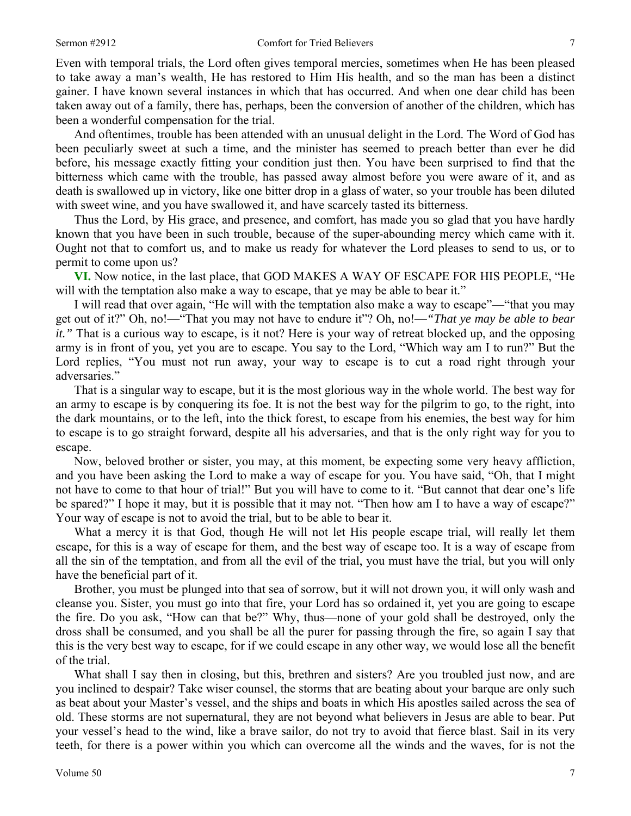Even with temporal trials, the Lord often gives temporal mercies, sometimes when He has been pleased to take away a man's wealth, He has restored to Him His health, and so the man has been a distinct gainer. I have known several instances in which that has occurred. And when one dear child has been taken away out of a family, there has, perhaps, been the conversion of another of the children, which has been a wonderful compensation for the trial.

And oftentimes, trouble has been attended with an unusual delight in the Lord. The Word of God has been peculiarly sweet at such a time, and the minister has seemed to preach better than ever he did before, his message exactly fitting your condition just then. You have been surprised to find that the bitterness which came with the trouble, has passed away almost before you were aware of it, and as death is swallowed up in victory, like one bitter drop in a glass of water, so your trouble has been diluted with sweet wine, and you have swallowed it, and have scarcely tasted its bitterness.

Thus the Lord, by His grace, and presence, and comfort, has made you so glad that you have hardly known that you have been in such trouble, because of the super-abounding mercy which came with it. Ought not that to comfort us, and to make us ready for whatever the Lord pleases to send to us, or to permit to come upon us?

**VI.** Now notice, in the last place, that GOD MAKES A WAY OF ESCAPE FOR HIS PEOPLE, "He will with the temptation also make a way to escape, that ye may be able to bear it."

I will read that over again, "He will with the temptation also make a way to escape"—"that you may get out of it?" Oh, no!—"That you may not have to endure it"? Oh, no!—*"That ye may be able to bear it.*" That is a curious way to escape, is it not? Here is your way of retreat blocked up, and the opposing army is in front of you, yet you are to escape. You say to the Lord, "Which way am I to run?" But the Lord replies, "You must not run away, your way to escape is to cut a road right through your adversaries."

That is a singular way to escape, but it is the most glorious way in the whole world. The best way for an army to escape is by conquering its foe. It is not the best way for the pilgrim to go, to the right, into the dark mountains, or to the left, into the thick forest, to escape from his enemies, the best way for him to escape is to go straight forward, despite all his adversaries, and that is the only right way for you to escape.

Now, beloved brother or sister, you may, at this moment, be expecting some very heavy affliction, and you have been asking the Lord to make a way of escape for you. You have said, "Oh, that I might not have to come to that hour of trial!" But you will have to come to it. "But cannot that dear one's life be spared?" I hope it may, but it is possible that it may not. "Then how am I to have a way of escape?" Your way of escape is not to avoid the trial, but to be able to bear it.

What a mercy it is that God, though He will not let His people escape trial, will really let them escape, for this is a way of escape for them, and the best way of escape too. It is a way of escape from all the sin of the temptation, and from all the evil of the trial, you must have the trial, but you will only have the beneficial part of it.

Brother, you must be plunged into that sea of sorrow, but it will not drown you, it will only wash and cleanse you. Sister, you must go into that fire, your Lord has so ordained it, yet you are going to escape the fire. Do you ask, "How can that be?" Why, thus—none of your gold shall be destroyed, only the dross shall be consumed, and you shall be all the purer for passing through the fire, so again I say that this is the very best way to escape, for if we could escape in any other way, we would lose all the benefit of the trial.

What shall I say then in closing, but this, brethren and sisters? Are you troubled just now, and are you inclined to despair? Take wiser counsel, the storms that are beating about your barque are only such as beat about your Master's vessel, and the ships and boats in which His apostles sailed across the sea of old. These storms are not supernatural, they are not beyond what believers in Jesus are able to bear. Put your vessel's head to the wind, like a brave sailor, do not try to avoid that fierce blast. Sail in its very teeth, for there is a power within you which can overcome all the winds and the waves, for is not the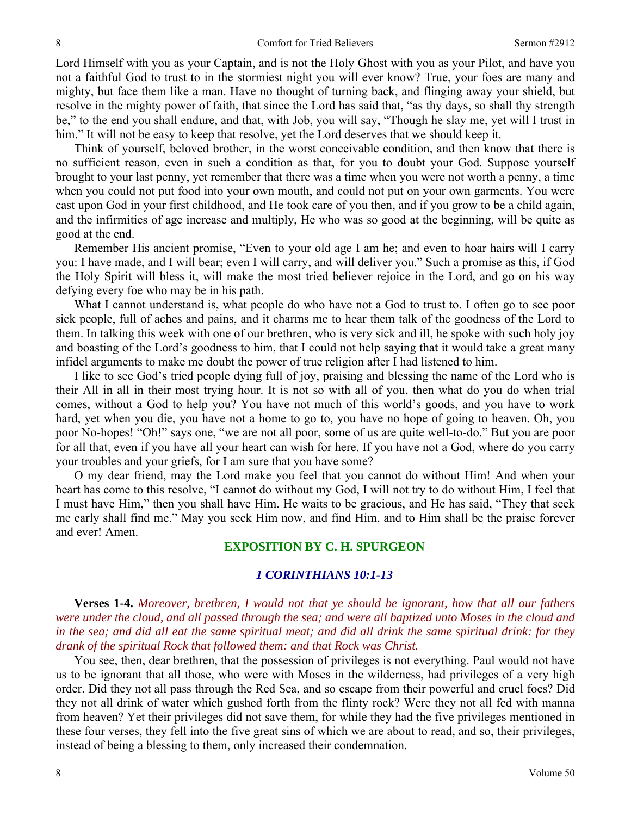Lord Himself with you as your Captain, and is not the Holy Ghost with you as your Pilot, and have you not a faithful God to trust to in the stormiest night you will ever know? True, your foes are many and mighty, but face them like a man. Have no thought of turning back, and flinging away your shield, but resolve in the mighty power of faith, that since the Lord has said that, "as thy days, so shall thy strength be," to the end you shall endure, and that, with Job, you will say, "Though he slay me, yet will I trust in him." It will not be easy to keep that resolve, yet the Lord deserves that we should keep it.

Think of yourself, beloved brother, in the worst conceivable condition, and then know that there is no sufficient reason, even in such a condition as that, for you to doubt your God. Suppose yourself brought to your last penny, yet remember that there was a time when you were not worth a penny, a time when you could not put food into your own mouth, and could not put on your own garments. You were cast upon God in your first childhood, and He took care of you then, and if you grow to be a child again, and the infirmities of age increase and multiply, He who was so good at the beginning, will be quite as good at the end.

Remember His ancient promise, "Even to your old age I am he; and even to hoar hairs will I carry you: I have made, and I will bear; even I will carry, and will deliver you." Such a promise as this, if God the Holy Spirit will bless it, will make the most tried believer rejoice in the Lord, and go on his way defying every foe who may be in his path.

What I cannot understand is, what people do who have not a God to trust to. I often go to see poor sick people, full of aches and pains, and it charms me to hear them talk of the goodness of the Lord to them. In talking this week with one of our brethren, who is very sick and ill, he spoke with such holy joy and boasting of the Lord's goodness to him, that I could not help saying that it would take a great many infidel arguments to make me doubt the power of true religion after I had listened to him.

I like to see God's tried people dying full of joy, praising and blessing the name of the Lord who is their All in all in their most trying hour. It is not so with all of you, then what do you do when trial comes, without a God to help you? You have not much of this world's goods, and you have to work hard, yet when you die, you have not a home to go to, you have no hope of going to heaven. Oh, you poor No-hopes! "Oh!" says one, "we are not all poor, some of us are quite well-to-do." But you are poor for all that, even if you have all your heart can wish for here. If you have not a God, where do you carry your troubles and your griefs, for I am sure that you have some?

O my dear friend, may the Lord make you feel that you cannot do without Him! And when your heart has come to this resolve, "I cannot do without my God, I will not try to do without Him, I feel that I must have Him," then you shall have Him. He waits to be gracious, and He has said, "They that seek me early shall find me." May you seek Him now, and find Him, and to Him shall be the praise forever and ever! Amen.

## **EXPOSITION BY C. H. SPURGEON**

## *1 CORINTHIANS 10:1-13*

**Verses 1-4.** *Moreover, brethren, I would not that ye should be ignorant, how that all our fathers were under the cloud, and all passed through the sea; and were all baptized unto Moses in the cloud and in the sea; and did all eat the same spiritual meat; and did all drink the same spiritual drink: for they drank of the spiritual Rock that followed them: and that Rock was Christ.* 

You see, then, dear brethren, that the possession of privileges is not everything. Paul would not have us to be ignorant that all those, who were with Moses in the wilderness, had privileges of a very high order. Did they not all pass through the Red Sea, and so escape from their powerful and cruel foes? Did they not all drink of water which gushed forth from the flinty rock? Were they not all fed with manna from heaven? Yet their privileges did not save them, for while they had the five privileges mentioned in these four verses, they fell into the five great sins of which we are about to read, and so, their privileges, instead of being a blessing to them, only increased their condemnation.